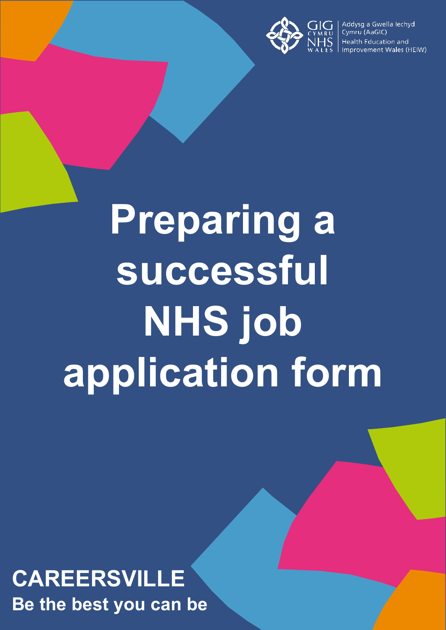

Addysg a Gwella lechyd Cymru (AaGIC) Health Education and Improvement Wales (HEIW)

# **Preparing a successful NHS job application form**

# **CAREERSVILLE Be the best you can be**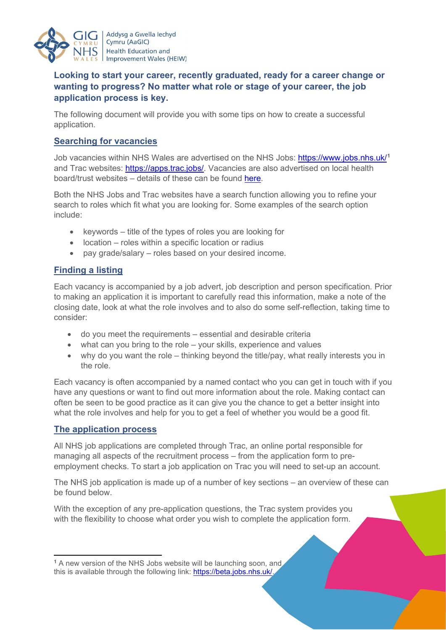

Addysg a Gwella Iechyd Cymru (AaGIC) **Health Education and Improvement Wales (HEIW)** 

# **Looking to start your career, recently graduated, ready for a career change or wanting to progress? No matter what role or stage of your career, the job application process is key.**

The following document will provide you with some tips on how to create a successful application.

### **Searching for vacancies**

Job vacancies within NHS Wales are advertised on the NHS Jobs: <https://www.jobs.nhs.uk/>**[1](#page-1-0)** and Trac websites: [https://apps.trac.jobs/.](https://apps.trac.jobs/) Vacancies are also advertised on local health board/trust websites – details of these can be found [here.](https://careersville.heiw.wales/skills-library-and-y-gornel-gymraeg/)

Both the NHS Jobs and Trac websites have a search function allowing you to refine your search to roles which fit what you are looking for. Some examples of the search option include:

- keywords title of the types of roles you are looking for
- location roles within a specific location or radius
- pay grade/salary roles based on your desired income.

#### **Finding a listing**

Each vacancy is accompanied by a job advert, job description and person specification. Prior to making an application it is important to carefully read this information, make a note of the closing date, look at what the role involves and to also do some self-reflection, taking time to consider:

- do you meet the requirements essential and desirable criteria
- what can you bring to the role your skills, experience and values
- why do you want the role thinking beyond the title/pay, what really interests you in the role.

Each vacancy is often accompanied by a named contact who you can get in touch with if you have any questions or want to find out more information about the role. Making contact can often be seen to be good practice as it can give you the chance to get a better insight into what the role involves and help for you to get a feel of whether you would be a good fit.

#### **The application process**

All NHS job applications are completed through Trac, an online portal responsible for managing all aspects of the recruitment process – from the application form to preemployment checks. To start a job application on Trac you will need to set-up an account.

The NHS job application is made up of a number of key sections – an overview of these can be found below.

With the exception of any pre-application questions, the Trac system provides you with the flexibility to choose what order you wish to complete the application form.

<span id="page-1-0"></span>**<sup>1</sup>** A new version of the NHS Jobs website will be launching soon, and this is available through the following link: [https://beta.jobs.nhs.uk/.](https://beta.jobs.nhs.uk/)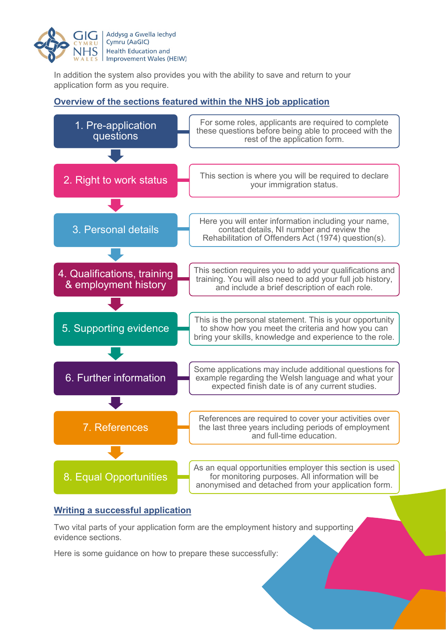

In addition the system also provides you with the ability to save and return to your application form as you require.

# **Overview of the sections featured within the NHS job application**



#### **Writing a successful application**

Two vital parts of your application form are the employment history and supporting evidence sections.

Here is some guidance on how to prepare these successfully: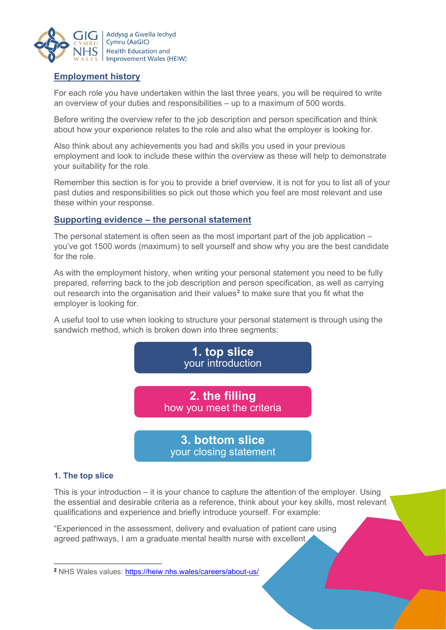

# **Employment history**

For each role you have undertaken within the last three years, you will be required to write an overview of your duties and responsibilities – up to a maximum of 500 words.

Before writing the overview refer to the job description and person specification and think about how your experience relates to the role and also what the employer is looking for.

Also think about any achievements you had and skills you used in your previous employment and look to include these within the overview as these will help to demonstrate your suitability for the role.

Remember this section is for you to provide a brief overview, it is not for you to list all of your past duties and responsibilities so pick out those which you feel are most relevant and use these within your response.

#### **Supporting evidence – the personal statement**

The personal statement is often seen as the most important part of the job application – you've got 1500 words (maximum) to sell yourself and show why you are the best candidate for the role.

As with the employment history, when writing your personal statement you need to be fully prepared, referring back to the job description and person specification, as well as carrying out research into the organisation and their values**[2](#page-3-0)** to make sure that you fit what the employer is looking for.

A useful tool to use when looking to structure your personal statement is through using the sandwich method, which is broken down into three segments:



#### **1. The top slice**

This is your introduction – it is your chance to capture the attention of the employer. Using the essential and desirable criteria as a reference, think about your key skills, most relevant qualifications and experience and briefly introduce yourself. For example:

"Experienced in the assessment, delivery and evaluation of patient care using agreed pathways, I am a graduate mental health nurse with excellent

<span id="page-3-0"></span>**<sup>2</sup>** NHS Wales values:<https://heiw.nhs.wales/careers/about-us/>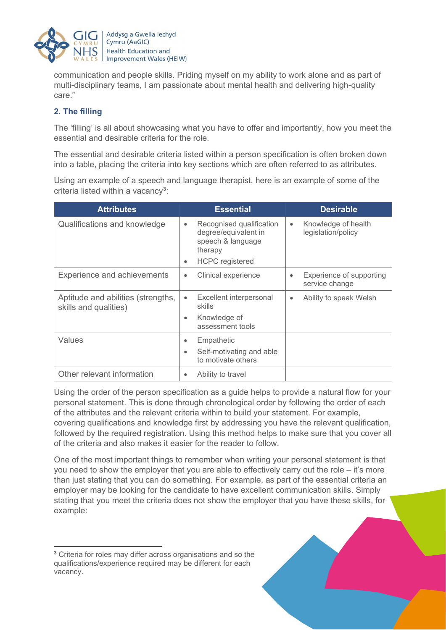

communication and people skills. Priding myself on my ability to work alone and as part of multi-disciplinary teams, I am passionate about mental health and delivering high-quality care."

#### **2. The filling**

The 'filling' is all about showcasing what you have to offer and importantly, how you meet the essential and desirable criteria for the role.

The essential and desirable criteria listed within a person specification is often broken down into a table, placing the criteria into key sections which are often referred to as attributes.

Using an example of a speech and language therapist, here is an example of some of the criteria listed within a vacancy**[3](#page-4-0)** :

| <b>Attributes</b>                                           | <b>Essential</b>                                                                                                             | <b>Desirable</b>                                        |
|-------------------------------------------------------------|------------------------------------------------------------------------------------------------------------------------------|---------------------------------------------------------|
| Qualifications and knowledge                                | Recognised qualification<br>$\bullet$<br>degree/equivalent in<br>speech & language<br>therapy<br><b>HCPC</b> registered<br>٠ | Knowledge of health<br>$\bullet$<br>legislation/policy  |
| <b>Experience and achievements</b>                          | Clinical experience<br>٠                                                                                                     | Experience of supporting<br>$\bullet$<br>service change |
| Aptitude and abilities (strengths,<br>skills and qualities) | Excellent interpersonal<br>$\bullet$<br>skills                                                                               | Ability to speak Welsh<br>$\bullet$                     |
|                                                             | Knowledge of<br>٠<br>assessment tools                                                                                        |                                                         |
| Values                                                      | Empathetic<br>٠                                                                                                              |                                                         |
|                                                             | Self-motivating and able<br>٠<br>to motivate others                                                                          |                                                         |
| Other relevant information                                  | Ability to travel<br>$\bullet$                                                                                               |                                                         |

Using the order of the person specification as a guide helps to provide a natural flow for your personal statement. This is done through chronological order by following the order of each of the attributes and the relevant criteria within to build your statement. For example, covering qualifications and knowledge first by addressing you have the relevant qualification, followed by the required registration. Using this method helps to make sure that you cover all of the criteria and also makes it easier for the reader to follow.

One of the most important things to remember when writing your personal statement is that you need to show the employer that you are able to effectively carry out the role – it's more than just stating that you can do something. For example, as part of the essential criteria an employer may be looking for the candidate to have excellent communication skills. Simply stating that you meet the criteria does not show the employer that you have these skills, for example:

<span id="page-4-0"></span>**<sup>3</sup>** Criteria for roles may differ across organisations and so the qualifications/experience required may be different for each vacancy.